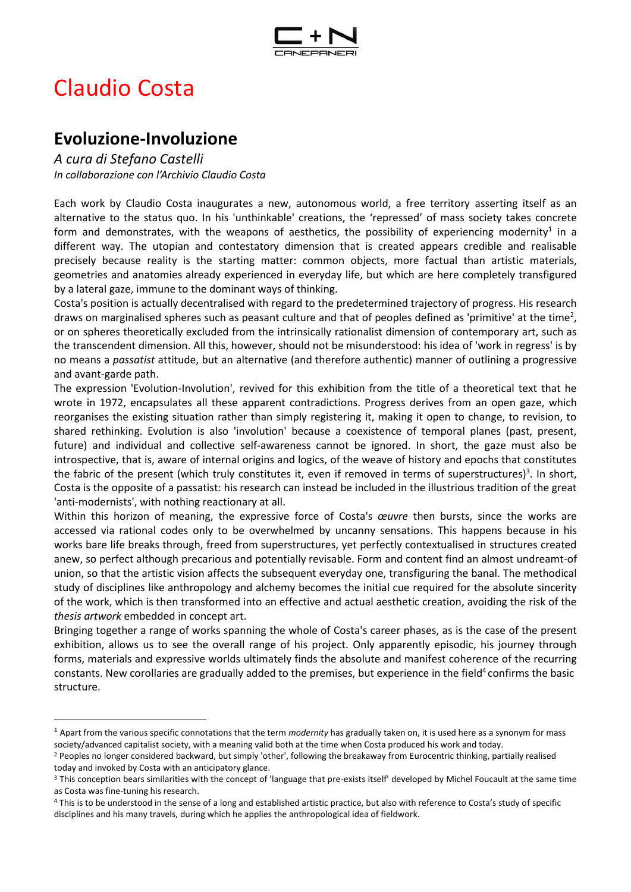

## Claudio Costa

## **Evoluzione-Involuzione**

*A cura di Stefano Castelli In collaborazione con l'Archivio Claudio Costa* 

Each work by Claudio Costa inaugurates a new, autonomous world, a free territory asserting itself as an alternative to the status quo. In his 'unthinkable' creations, the 'repressed' of mass society takes concrete form and demonstrates, with the weapons of aesthetics, the possibility of experiencing modernity<sup>1</sup> in a different way. The utopian and contestatory dimension that is created appears credible and realisable precisely because reality is the starting matter: common objects, more factual than artistic materials, geometries and anatomies already experienced in everyday life, but which are here completely transfigured by a lateral gaze, immune to the dominant ways of thinking.

Costa's position is actually decentralised with regard to the predetermined trajectory of progress. His research draws on marginalised spheres such as peasant culture and that of peoples defined as 'primitive' at the time<sup>2</sup>, or on spheres theoretically excluded from the intrinsically rationalist dimension of contemporary art, such as the transcendent dimension. All this, however, should not be misunderstood: his idea of 'work in regress' is by no means a *passatist* attitude, but an alternative (and therefore authentic) manner of outlining a progressive and avant-garde path.

The expression 'Evolution-Involution', revived for this exhibition from the title of a theoretical text that he wrote in 1972, encapsulates all these apparent contradictions. Progress derives from an open gaze, which reorganises the existing situation rather than simply registering it, making it open to change, to revision, to shared rethinking. Evolution is also 'involution' because a coexistence of temporal planes (past, present, future) and individual and collective self-awareness cannot be ignored. In short, the gaze must also be introspective, that is, aware of internal origins and logics, of the weave of history and epochs that constitutes the fabric of the present (which truly constitutes it, even if removed in terms of superstructures) $^3$ . In short, Costa is the opposite of a passatist: his research can instead be included in the illustrious tradition of the great 'anti-modernists', with nothing reactionary at all.

Within this horizon of meaning, the expressive force of Costa's *œuvre* then bursts, since the works are accessed via rational codes only to be overwhelmed by uncanny sensations. This happens because in his works bare life breaks through, freed from superstructures, yet perfectly contextualised in structures created anew, so perfect although precarious and potentially revisable. Form and content find an almost undreamt-of union, so that the artistic vision affects the subsequent everyday one, transfiguring the banal. The methodical study of disciplines like anthropology and alchemy becomes the initial cue required for the absolute sincerity of the work, which is then transformed into an effective and actual aesthetic creation, avoiding the risk of the *thesis artwork* embedded in concept art.

Bringing together a range of works spanning the whole of Costa's career phases, as is the case of the present exhibition, allows us to see the overall range of his project. Only apparently episodic, his journey through forms, materials and expressive worlds ultimately finds the absolute and manifest coherence of the recurring constants. New corollaries are gradually added to the premises, but experience in the field<sup>4</sup> confirms the basic structure.

<sup>1</sup> Apart from the various specific connotations that the term *modernity* has gradually taken on, it is used here as a synonym for mass society/advanced capitalist society, with a meaning valid both at the time when Costa produced his work and today.

<sup>&</sup>lt;sup>2</sup> Peoples no longer considered backward, but simply 'other', following the breakaway from Eurocentric thinking, partially realised today and invoked by Costa with an anticipatory glance.

<sup>&</sup>lt;sup>3</sup> This conception bears similarities with the concept of 'language that pre-exists itself' developed by Michel Foucault at the same time as Costa was fine-tuning his research.

<sup>&</sup>lt;sup>4</sup> This is to be understood in the sense of a long and established artistic practice, but also with reference to Costa's study of specific disciplines and his many travels, during which he applies the anthropological idea of fieldwork.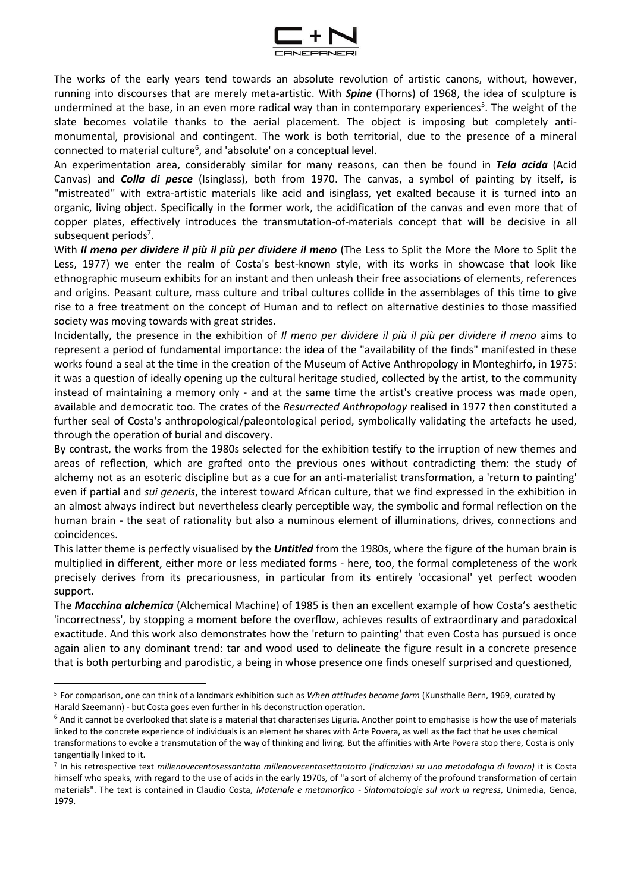

The works of the early years tend towards an absolute revolution of artistic canons, without, however, running into discourses that are merely meta-artistic. With *Spine* (Thorns) of 1968, the idea of sculpture is undermined at the base, in an even more radical way than in contemporary experiences<sup>5</sup>. The weight of the slate becomes volatile thanks to the aerial placement. The object is imposing but completely antimonumental, provisional and contingent. The work is both territorial, due to the presence of a mineral  $\mathop{\mathsf{connected}}$  to material culture $^6$ , and 'absolute' on a conceptual level.

An experimentation area, considerably similar for many reasons, can then be found in *Tela acida* (Acid Canvas) and *Colla di pesce* (Isinglass), both from 1970. The canvas, a symbol of painting by itself, is "mistreated" with extra-artistic materials like acid and isinglass, yet exalted because it is turned into an organic, living object. Specifically in the former work, the acidification of the canvas and even more that of copper plates, effectively introduces the transmutation-of-materials concept that will be decisive in all subsequent periods<sup>7</sup>.

With *Il meno per dividere il più il più per dividere il meno* (The Less to Split the More the More to Split the Less, 1977) we enter the realm of Costa's best-known style, with its works in showcase that look like ethnographic museum exhibits for an instant and then unleash their free associations of elements, references and origins. Peasant culture, mass culture and tribal cultures collide in the assemblages of this time to give rise to a free treatment on the concept of Human and to reflect on alternative destinies to those massified society was moving towards with great strides.

Incidentally, the presence in the exhibition of *Il meno per dividere il più il più per dividere il meno* aims to represent a period of fundamental importance: the idea of the "availability of the finds" manifested in these works found a seal at the time in the creation of the Museum of Active Anthropology in Monteghirfo, in 1975: it was a question of ideally opening up the cultural heritage studied, collected by the artist, to the community instead of maintaining a memory only - and at the same time the artist's creative process was made open, available and democratic too. The crates of the *Resurrected Anthropology* realised in 1977 then constituted a further seal of Costa's anthropological/paleontological period, symbolically validating the artefacts he used, through the operation of burial and discovery.

By contrast, the works from the 1980s selected for the exhibition testify to the irruption of new themes and areas of reflection, which are grafted onto the previous ones without contradicting them: the study of alchemy not as an esoteric discipline but as a cue for an anti-materialist transformation, a 'return to painting' even if partial and *sui generis*, the interest toward African culture, that we find expressed in the exhibition in an almost always indirect but nevertheless clearly perceptible way, the symbolic and formal reflection on the human brain - the seat of rationality but also a numinous element of illuminations, drives, connections and coincidences.

This latter theme is perfectly visualised by the *Untitled* from the 1980s, where the figure of the human brain is multiplied in different, either more or less mediated forms - here, too, the formal completeness of the work precisely derives from its precariousness, in particular from its entirely 'occasional' yet perfect wooden support.

The *Macchina alchemica* (Alchemical Machine) of 1985 is then an excellent example of how Costa's aesthetic 'incorrectness', by stopping a moment before the overflow, achieves results of extraordinary and paradoxical exactitude. And this work also demonstrates how the 'return to painting' that even Costa has pursued is once again alien to any dominant trend: tar and wood used to delineate the figure result in a concrete presence that is both perturbing and parodistic, a being in whose presence one finds oneself surprised and questioned,

<sup>5</sup> For comparison, one can think of a landmark exhibition such as *When attitudes become form* (Kunsthalle Bern, 1969, curated by Harald Szeemann) - but Costa goes even further in his deconstruction operation.

 $6$  And it cannot be overlooked that slate is a material that characterises Liguria. Another point to emphasise is how the use of materials linked to the concrete experience of individuals is an element he shares with Arte Povera, as well as the fact that he uses chemical transformations to evoke a transmutation of the way of thinking and living. But the affinities with Arte Povera stop there, Costa is only tangentially linked to it.

<sup>7</sup> In his retrospective text *millenovecentosessantotto millenovecentosettantotto (indicazioni su una metodologia di lavoro)* it is Costa himself who speaks, with regard to the use of acids in the early 1970s, of "a sort of alchemy of the profound transformation of certain materials". The text is contained in Claudio Costa, *Materiale e metamorfico - Sintomatologie sul work in regress*, Unimedia, Genoa, 1979.